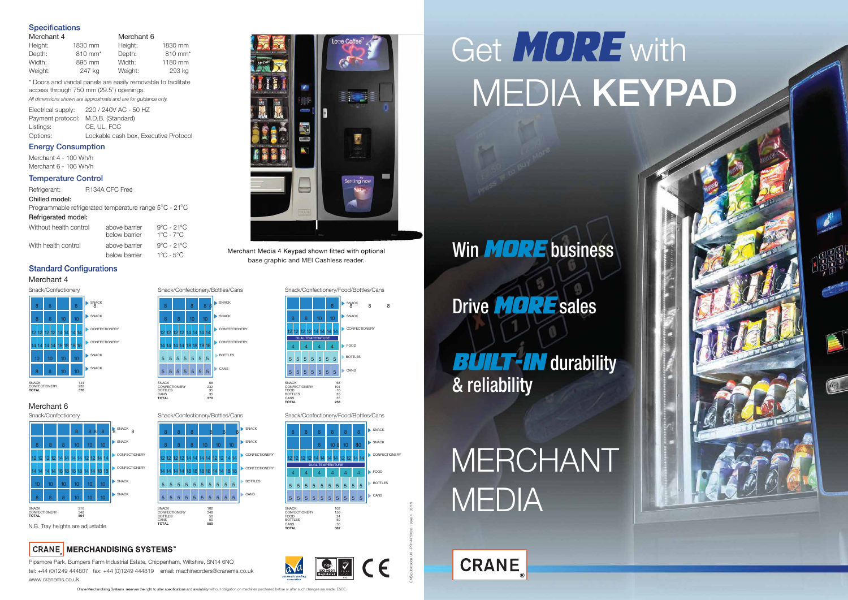CMS publication UK - PR14470000 Issue 4 03/15





# Get MUNE with MEDIA KEYPAD

## Win **MORE** business

## Drive **MORE** sales

# MERCHANT MEDIA



## **BUILT-IN** durability & reliability

*All dimensions shown are approximate and are for guidance only.*  $\frac{1}{2}$  220 / 240V AC - 50 Hz

\* Doors and vandal panels are easily removable to facilitate access through 750 mm (29.5") openings.

|                                     | Electrical supply: $220 / 240V$ AC - 50 HZ |
|-------------------------------------|--------------------------------------------|
| Payment protocol: M.D.B. (Standard) |                                            |
| Listings:                           | CE. UL. FCC                                |
| Options:                            | Lockable cash box, Executive Protocol      |

### Energy Consumption

Merchant 4 - 100 Wh/h Merchant 6 - 106 Wh/h

### Temperature Control

Refrigerant: R134A CFC Free

Chilled model: Programmable refrigerated temperature range 5°C - 21°C

### Refrigerated model:

| Without health control | above barrier<br>below barrier | $9^{\circ}$ C - 21 $^{\circ}$ C<br>$1^{\circ}$ C - 7 $^{\circ}$ C |
|------------------------|--------------------------------|-------------------------------------------------------------------|
| With health control    | above barrier                  | $9^{\circ}$ C - 21 $^{\circ}$ C                                   |
|                        | below barrier                  | $1^{\circ}$ C - $5^{\circ}$ C                                     |

### **Standard Configurations**

Pipsmore Park, Bumpers Farm Industrial Estate, Chippenham, Wiltshire, SN14 6NQ tel: +44 (0)1249 444807 fax: +44 (0)1249 444819 email: machineorders@cranems.co.uk www.cranems.co.uk

 $\mathop{\mathsf{erc}}$ ing now

### Merchant 4

SNACK SNACK CONFECTIONER

CONFECTIONERY BOTTLES



Snack/Confectionery

SNACK SNACK CONFECTIONERY CONFECTIONERY BOTTLES

CANS

SNACK 68 CONFECTIONERY 232 BOTTLES 35 CANS 35 **TOTAL 370**

8 8 8 8 8 8 10 10 12 12 12 12 14 14 14 14

14 5 14 14 14 18 18 18 18

5

5 5 5 5 5 5 5 5 5 5 5 5 Merchant Media 4 Keypad shown fitted with optional base graphic and MEI Cashless reader.





Snack/Confectionery/Bottles/Cans Snack/Confectionery/Food/Bottles/Cans

### Merchant 6

CANS



### **CRANE MERCHANDISING SYSTEMS**

8

8 8 8 10

5 5 5 5 5 5 5 5 5

12 12 12 12 14 14 14 14 14 14 14 14 18 18 18 18

SNACK 102<br>CONFECTIONERY 348<br>BOTTLES 50<br>CANS 50<br>**TOTAL 550** 

8

8 8 8 8

5 5 5 5 5 5 5 5 5 5



Crane Merchandising Systems reserves the right to alter specifications and availability without obligation on machines purchased before or after such changes are made. E&OE

### **Specifications**

| Merchant 4 |                     |         | Merchant 6 |  |
|------------|---------------------|---------|------------|--|
| Height:    | 1830 mm             | Height: | 1830 mm    |  |
| Depth:     | 810 mm <sup>*</sup> | Depth:  | 810 mm*    |  |
| Width:     | 895 mm              | Width:  | 1180 mm    |  |
| Weight:    | 247 kg              | Weight: | 293 kg     |  |